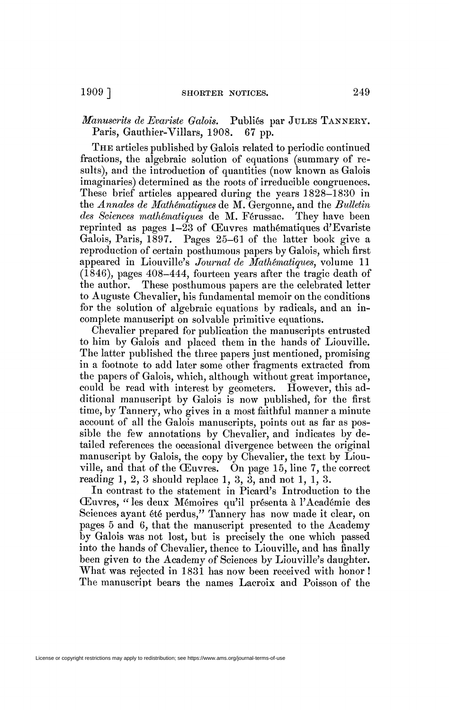*Manuscrits de Evariste Galois.* Publiés par JULES TANNERY. Paris, Gauthier-Villars, 1908. 67 pp.

THE articles published by Galois related to periodic continued fractions, the algebraic solution of equations (summary of results), and the introduction of quantities (now known as Galois imaginaries) determined as the roots of irreducible congruences. These brief articles appeared during the years 1828-1830 in the *Annales de Mathématiques* de M. Gergonne, and the *Bulletin des Sciences mathématiques* de M. Férussac. They have been reprinted as pages 1-23 of Œuvres mathématiques d'Evariste Galois, Paris, 1897. Pages 25-61 of the latter book give a reproduction of certain posthumous papers by Galois, which first appeared in Liouville's *Journal de Mathématiques,* volume 11 (1846), pages 408-444, fourteen years after the tragic death of the author. These posthumous papers are the celebrated letter to Auguste Chevalier, his fundamental memoir on the conditions for the solution of algebraic equations by radicals, and an incomplete manuscript on solvable primitive equations.

Chevalier prepared for publication the manuscripts entrusted to him by Galois and placed them in the hands of Liouville. The latter published the three papers just mentioned, promising in a footnote to add later some other fragments extracted from the papers of Galois, which, although without great importance, could be read with interest by geometers. However, this additional manuscript by Galois is now published, for the first time, by Tannery, who gives in a most faithful manner a minute account of all the Galois manuscripts, points out as far as possible the few annotations by Chevalier, and indicates by detailed references the occasional divergence between the original manuscript by Galois, the copy by Chevalier, the text by Liouville, and that of the Œuvres. On page 15, line 7, the correct reading  $1, 2, 3$  should replace  $1, 3, 3$ , and not  $1, 1, 3$ .

In contrast to the statement in Picard's Introduction to the Œuvres, " les deux Mémoires qu'il présenta à l'Académie des Sciences ayant été perdus," Tannery has now made it clear, on pages 5 and 6, that the manuscript presented to the Academy by Galois was not lost, but is precisely the one which passed into the hands of Chevalier, thence to Liouville, and has finally been given to the Academy of Sciences by Liouville's daughter. What was rejected in 1831 has now been received with honor ! The manuscript bears the names Lacroix and Poisson of the